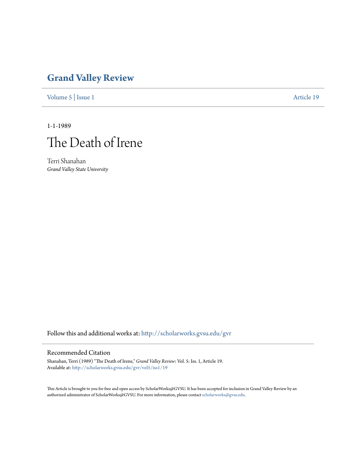## **[Grand Valley Review](http://scholarworks.gvsu.edu/gvr?utm_source=scholarworks.gvsu.edu%2Fgvr%2Fvol5%2Fiss1%2F19&utm_medium=PDF&utm_campaign=PDFCoverPages)**

[Volume 5](http://scholarworks.gvsu.edu/gvr/vol5?utm_source=scholarworks.gvsu.edu%2Fgvr%2Fvol5%2Fiss1%2F19&utm_medium=PDF&utm_campaign=PDFCoverPages) | [Issue 1](http://scholarworks.gvsu.edu/gvr/vol5/iss1?utm_source=scholarworks.gvsu.edu%2Fgvr%2Fvol5%2Fiss1%2F19&utm_medium=PDF&utm_campaign=PDFCoverPages) [Article 19](http://scholarworks.gvsu.edu/gvr/vol5/iss1/19?utm_source=scholarworks.gvsu.edu%2Fgvr%2Fvol5%2Fiss1%2F19&utm_medium=PDF&utm_campaign=PDFCoverPages)

1-1-1989



Terri Shanahan *Grand Valley State University*

Follow this and additional works at: [http://scholarworks.gvsu.edu/gvr](http://scholarworks.gvsu.edu/gvr?utm_source=scholarworks.gvsu.edu%2Fgvr%2Fvol5%2Fiss1%2F19&utm_medium=PDF&utm_campaign=PDFCoverPages)

## Recommended Citation

Shanahan, Terri (1989) "The Death of Irene," *Grand Valley Review*: Vol. 5: Iss. 1, Article 19. Available at: [http://scholarworks.gvsu.edu/gvr/vol5/iss1/19](http://scholarworks.gvsu.edu/gvr/vol5/iss1/19?utm_source=scholarworks.gvsu.edu%2Fgvr%2Fvol5%2Fiss1%2F19&utm_medium=PDF&utm_campaign=PDFCoverPages)

This Article is brought to you for free and open access by ScholarWorks@GVSU. It has been accepted for inclusion in Grand Valley Review by an authorized administrator of ScholarWorks@GVSU. For more information, please contact [scholarworks@gvsu.edu.](mailto:scholarworks@gvsu.edu)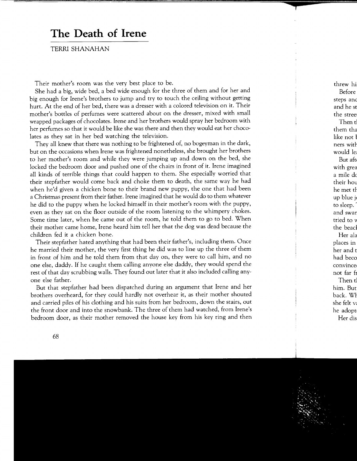## **The Death of Irene**

TERRI SHANAHAN

Their mother's room was the very best place to be.

She had a big, wide bed, a bed wide enough for the three of them and for her and big enough for Irene's brothers to jump and try to touch the ceiling without getting hurt. At the end of her bed, there was a dresser with a colored television on it. Their mother's bottles of perfumes were scattered about on the dresser, mixed with small wrapped packages of chocolates. Irene and her brothers would spray her bedroom with her perfumes so that it would be like she was there and then they would eat her chocolates as they sat in her bed watching the television.

They all knew that there was nothing to be frightened of, no bogeyman in the dark, but on the occasions when Irene was frightened nonetheless, she brought her brothers to her mother's room and while they were jumping up and down on the bed, she locked the bedroom door and pushed one of the chairs in front of it. Irene imagined all kinds of terrible things that could happen to them. She especially worried that their stepfather would come back and choke them to death, the same way he had when he'd given a chicken bone to their brand new puppy, the one that had been a Christmas present from their father. Irene imagined that he would do to them whatever he did to the puppy when he locked himself in their mother's room with the puppy, even as they sat on the floor outside of the room listening to the whimpery chokes. Some time later, when he came out of the room, he told them to go to bed. When their mother came home, Irene heard him tell her that the dog was dead because the children fed it a chicken bone.

Their stepfather hated anything that had been their father's, including them. Once he married their mother, the very first thing he did was to line up the three of them in front of him and he told them from that day on, they were to call him, and no one else, daddy. If he caught them calling anyone else daddy, they would spend the rest of that day scrubbing walls. They found out later that it also included calling anyone else father.

But that stepfather had been dispatched during an argument that Irene and her brothers overheard, for they could hardly not overhear it, as their mother shouted and carried piles of his clothing and his suits from her bedroom, down the stairs, out the front door and into the snowbank. The three of them had watched, from Irene's bedroom door, as their mother removed the house key from his key ring and then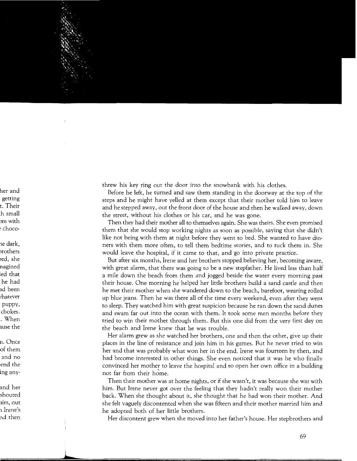threw his key ring out the door into the snowbank with his clothes.

Before he left, he turned and saw them standing in the doorway at the top of the steps and he might have yelled at them except that their mother told him to leave and he stepped away, out the front door of the house and then he walked away, down the street, without his clothes or his car, and he was gone.

Then they had their mother all to themselves again. She was theirs. She even promised them that she would stop working nights as soon as possible, saying that she didn't like not being with them at night before they went to bed. She wanted to have dinners with them more often, to tell them bedtime stories, and to tuck them in. She would leave the hospital, if it came to that, and go into private practice.

But after six months, Irene and her brothers stopped believing her, becoming aware, with great alarm, that there was going to be a new stepfather. He lived less than half a mile down the beach from them and jogged beside the water every morning past their house. One morning he helped her little brothers build a sand castle and then he met their mother when she wandered down to the beach, barefoot, wearing rolled up blue jeans. Then he was there all of the time every weekend, even after they went to sleep. They watched him with great suspicion because he ran down the sand dunes and swam far out into the ocean with them. It took some men months before they tried to win their mother through them. But this one did from the very first day on the beach and Irene knew that he was trouble.

Her alarm grew as she watched her brothers, one and then the other, give up their places in the line of resistance and join him in his games. But he never tried to win her and that was probably what won her in the end. Irene was fourteen by then, and had become interested in other things. She even noticed that it was he who finally convinced her mother to leave the hospital and to open her own office in a building not far from their home.

Then their mother was at home nights, or if she wasn't, it was because she was with him. But Irene never got over the feeling that they hadn't really won their mother back. When she thought about it, she thought that he had won their mother. And she felt vaguely discontented when she was fifteen and their mother married him and he adopted both of her little brothers.

Her discontent grew when she moved into her father's house. Her stepbrothers and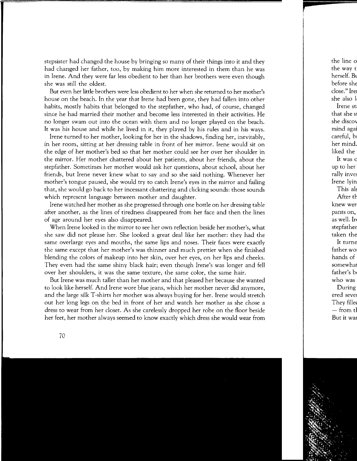stepsister had changed the house by bringing so many of their things into it and they had changed her father, too, by making him more interested in them than he was in Irene. And they were far less obedient to her than her brothers were even though she was still the oldest.

But even her little brothers were less obedient to her when she returned to her mother's house on the beach. In the year that Irene had been gone, they had fallen into other habits, mostly habits that belonged to the stepfather, who had, of course, changed since he had married their mother and become less interested in their activities. He no longer swam out into the ocean with them and no longer played on the beach. It was his house and while he lived in it, they played by his rules and in his ways.

Irene turned to her mother, looking for her in the shadows, finding her, inevitably, in her room, sitting at her dressing table in front of her mirror. Irene would sit on the edge of her mother's bed so that her mother could see her over her shoulder in the mirror. Her mother chattered about her patients, about her friends, about the stepfather. Sometimes her mother would ask her questions, about school, about her friends, but Irene never knew what to say and so she said nothing. Whenever her mother's tongue paused, she would try to catch Irene's eyes in the mirror and failing that, she would go back to her incessant chattering and clicking sounds: those sounds which represent language between mother and daughter.

Irene watched her mother as she progressed through one bottle on her dressing table after another, as the lines of tiredness disappeared from her face and then the lines of age around her eyes also disappeared.

When Irene looked in the mirror to see her own reflection beside her mother's, what she saw did not please her. She looked a great deal like her mother: they had the same overlarge eyes and mouths, the same lips and noses. Their faces were exactly the same except that her mother's was thinner and much prettier when she finished blending the colors of makeup into her skin, over her eyes, on her lips and cheeks. They even had the same shiny black hair; even though Irene's was longer and fell over her shoulders, it was the same texture, the same color, the same hair.

But Irene was much taller than her mother and that pleased her because she wanted to look like herself. And Irene wore blue jeans, which her mother never did anymore, and the large silk T-shirts her mother was always buying for her. Irene would stretch out her long legs on the bed in front of her and watch her mother as she chose a dress to wear from her closet. As she carelessly dropped her robe on the floor beside her feet, her mother always seemed to know exactly which dress she would wear from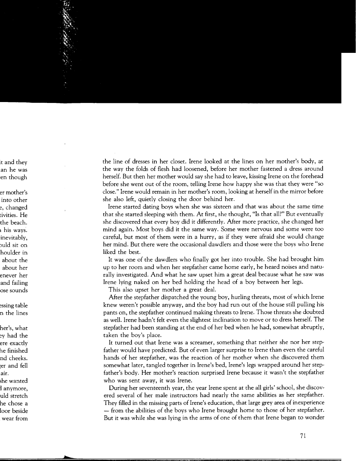the line of dresses in her closet. Irene looked at the lines on her mother's body, at the way the folds of flesh had loosened, before her mother fastened a dress around herself. But then her mother would say she had to leave, kissing Irene on the forehead before she went out of the room, telling Irene how happy she was that they were "so close." Irene would remain in her mother's room, looking at herself in the mirror before she also left, quietly closing the door behind her.

Irene started dating boys when she was sixteen and that was about the same time that she started sleeping with them. At first, she thought, "Is that all?" But eventually she discovered that every boy did it differently. After more practice, she changed her mind again. Most boys did it the same way. Some were nervous and some were too careful, but most of them were in a hurry, as if they were afraid she would change her mind. But there were the occasional dawdlers and those were the boys who Irene liked the best.

It was one of the dawdlers who finally got her into trouble. She had brought him up to her room and when her stepfather came home early, he heard noises and naturally investigated. And what he saw upset him a great deal because what he saw was Irene lying naked on her bed holding the head of a boy between her legs.

This also upset her mother a great deal.

After the stepfather dispatched the young boy, hurling threats, most of which Irene knew weren't possible anyway, and the boy had run out of the house still pulling his pants on, the stepfather continued making threats to Irene. Those threats she doubted as well. Irene hadn't felt even the slightest inclination to move or to dress herself. The stepfather had been standing at the end of her bed when he had, somewhat abruptly, taken the boy's place.

It turned out that Irene was a screamer, something that neither she nor her stepfather would have predicted. But of even larger surprise to Irene than even the careful hands of her stepfather, was the reaction of her mother when she discovered them somewhat later, tangled together in Irene's bed, Irene's legs wrapped around her stepfather's body. Her mother's reaction surprised Irene because it wasn't the stepfather who was sent away, it was Irene.

During her seventeenth year, the year Irene spent at the all girls' school, she discovered several of her male instructors had nearly the same abilities as her stepfather. They filled in the missing parts of Irene's education, that large grey area of inexperience - from the abilities of the boys who Irene brought home to those of her stepfather. But it was while she was lying in the arms of one of them that Irene began to wonder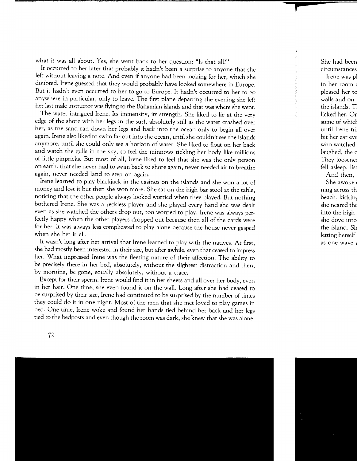what it was all about. Yes, she went back to her question: "Is that all?"

It occurred to her later that probably it hadn't been a surprise to anyone that she left without leaving a note. And even if anyone had been looking for her, which she doubted, Irene guessed that they would probably have looked somewhere in Europe. But it hadn't even occurred to her to go to Europe. It hadn't occurred to her to go anywhere in particular, only to leave. The first plane departing the evening she left her last male instructor was flying to the Bahamian islands and that was where she went.

The water intrigued Irene. Its immensity, its strength. She liked to lie at the very edge of the shore with her legs in the surf, absolutely still as the water crashed over her, as the sand ran down her legs and back into the ocean only to begin all over again. Irene also liked to swim far out into the ocean, until she couldn't see the islands anymore, until she could only see a horizon of water. She liked to float on her back and watch the gulls in the sky, to feel the minnows tickling her body like millions of little pinpricks. But most of all, Irene liked to feel that she was the only person on earth, that she never had to swim back to shore again, never needed air to breathe again, never needed land to step on again.

Irene learned to play blackjack in the casinos on the islands and she won a lot of money and lost it but then she won more. She sat on the high bar stool at the table, noticing that the other people always looked worried when they played. But nothing bothered Irene. She was a reckless player and she played every hand she was dealt even as she watched the others drop out, too worried to play. Irene was always perfectly happy when the other players dropped out because then all of the cards were for her. It was always less complicated to play alone because the house never gasped when she bet it all.

It wasn't long after her arrival that Irene learned to play with the natives. At first, she had mostly been interested in their size, but after awhile, even that ceased to impress her. What impressed Irene was the fleeting nature of their affection. The ability to be precisely there in her bed, absolutely, without the slightest distraction and then, by morning, be gone, equally absolutely, without a trace.

Except for their sperm. Irene would find it in her sheets and all over her body, even in her hair. One time, she even found it on the wall. Long after she had ceased to be surprised by their size, Irene had continued to be surprised by the number of times they could do it in one night. Most of the men that she met loved to play games in bed. One time, Irene woke and found her hands tied behind her back and her legs tied to the bedposts and even though the room was dark, she knew that she was alone.